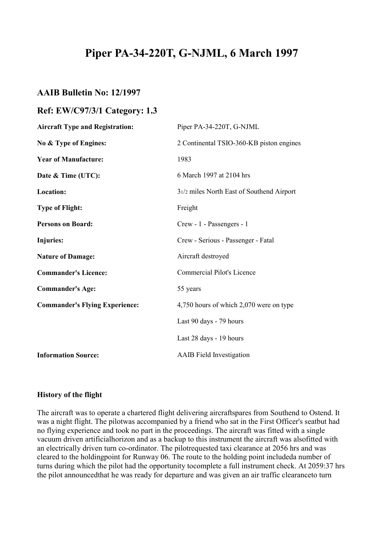# **Piper PA-34-220T, G-NJML, 6 March 1997**

# **AAIB Bulletin No: 12/1997**

## **Ref: EW/C97/3/1 Category: 1.3**

| <b>Aircraft Type and Registration:</b> | Piper PA-34-220T, G-NJML                  |
|----------------------------------------|-------------------------------------------|
| No & Type of Engines:                  | 2 Continental TSIO-360-KB piston engines  |
| <b>Year of Manufacture:</b>            | 1983                                      |
| Date & Time (UTC):                     | 6 March 1997 at 2104 hrs                  |
| Location:                              | 31/2 miles North East of Southend Airport |
| <b>Type of Flight:</b>                 | Freight                                   |
| <b>Persons on Board:</b>               | Crew - 1 - Passengers - 1                 |
| <b>Injuries:</b>                       | Crew - Serious - Passenger - Fatal        |
| <b>Nature of Damage:</b>               | Aircraft destroyed                        |
| <b>Commander's Licence:</b>            | <b>Commercial Pilot's Licence</b>         |
| <b>Commander's Age:</b>                | 55 years                                  |
| <b>Commander's Flying Experience:</b>  | 4,750 hours of which 2,070 were on type   |
|                                        | Last 90 days - 79 hours                   |
|                                        | Last 28 days - 19 hours                   |
| <b>Information Source:</b>             | <b>AAIB</b> Field Investigation           |
|                                        |                                           |

#### **History of the flight**

The aircraft was to operate a chartered flight delivering aircraftspares from Southend to Ostend. It was a night flight. The pilotwas accompanied by a friend who sat in the First Officer's seatbut had no flying experience and took no part in the proceedings. The aircraft was fitted with a single vacuum driven artificialhorizon and as a backup to this instrument the aircraft was alsofitted with an electrically driven turn co-ordinator. The pilotrequested taxi clearance at 2056 hrs and was cleared to the holdingpoint for Runway 06. The route to the holding point includeda number of turns during which the pilot had the opportunity tocomplete a full instrument check. At 2059:37 hrs the pilot announcedthat he was ready for departure and was given an air traffic clearanceto turn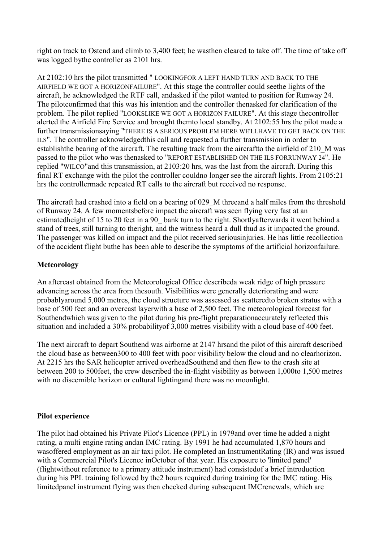right on track to Ostend and climb to 3,400 feet; he wasthen cleared to take off. The time of take off was logged bythe controller as 2101 hrs.

At 2102:10 hrs the pilot transmitted " LOOKINGFOR A LEFT HAND TURN AND BACK TO THE AIRFIELD WE GOT A HORIZONFAILURE". At this stage the controller could seethe lights of the aircraft, he acknowledged the RTF call, andasked if the pilot wanted to position for Runway 24. The pilotconfirmed that this was his intention and the controller thenasked for clarification of the problem. The pilot replied "LOOKSLIKE WE GOT A HORIZON FAILURE". At this stage thecontroller alerted the Airfield Fire Service and brought themto local standby. At 2102:55 hrs the pilot made a further transmissionsaying "THERE IS A SERIOUS PROBLEM HERE WE'LLHAVE TO GET BACK ON THE ILS". The controller acknowledgedthis call and requested a further transmission in order to establishthe bearing of the aircraft. The resulting track from the aircraftto the airfield of 210\_M was passed to the pilot who was thenasked to "REPORT ESTABLISHED ON THE ILS FORRUNWAY 24". He replied "WILCO"and this transmission, at 2103:20 hrs, was the last from the aircraft. During this final RT exchange with the pilot the controller couldno longer see the aircraft lights. From 2105:21 hrs the controllermade repeated RT calls to the aircraft but received no response.

The aircraft had crashed into a field on a bearing of 029 M threeand a half miles from the threshold of Runway 24. A few momentsbefore impact the aircraft was seen flying very fast at an estimatedheight of 15 to 20 feet in a 90 bank turn to the right. Shortlyafterwards it went behind a stand of trees, still turning to theright, and the witness heard a dull thud as it impacted the ground. The passenger was killed on impact and the pilot received seriousinjuries. He has little recollection of the accident flight buthe has been able to describe the symptoms of the artificial horizonfailure.

## **Meteorology**

An aftercast obtained from the Meteorological Office describeda weak ridge of high pressure advancing across the area from thesouth. Visibilities were generally deteriorating and were probablyaround 5,000 metres, the cloud structure was assessed as scatteredto broken stratus with a base of 500 feet and an overcast layerwith a base of 2,500 feet. The meteorological forecast for Southendwhich was given to the pilot during his pre-flight preparationaccurately reflected this situation and included a 30% probabilityof 3,000 metres visibility with a cloud base of 400 feet.

The next aircraft to depart Southend was airborne at 2147 hrsand the pilot of this aircraft described the cloud base as between300 to 400 feet with poor visibility below the cloud and no clearhorizon. At 2215 hrs the SAR helicopter arrived overheadSouthend and then flew to the crash site at between 200 to 500feet, the crew described the in-flight visibility as between 1,000to 1,500 metres with no discernible horizon or cultural lightingand there was no moonlight.

## **Pilot experience**

The pilot had obtained his Private Pilot's Licence (PPL) in 1979and over time he added a night rating, a multi engine rating andan IMC rating. By 1991 he had accumulated 1,870 hours and wasoffered employment as an air taxi pilot. He completed an InstrumentRating (IR) and was issued with a Commercial Pilot's Licence inOctober of that year. His exposure to 'limited panel' (flightwithout reference to a primary attitude instrument) had consistedof a brief introduction during his PPL training followed by the2 hours required during training for the IMC rating. His limitedpanel instrument flying was then checked during subsequent IMCrenewals, which are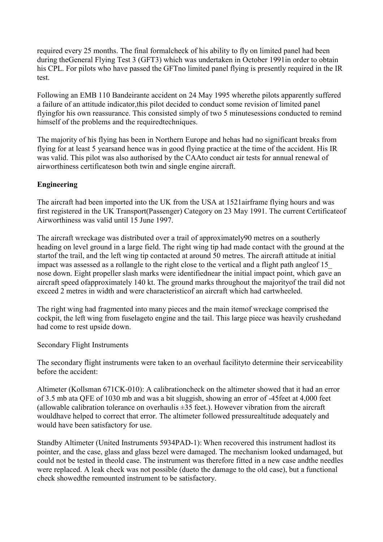required every 25 months. The final formalcheck of his ability to fly on limited panel had been during theGeneral Flying Test 3 (GFT3) which was undertaken in October 1991in order to obtain his CPL. For pilots who have passed the GFTno limited panel flying is presently required in the IR test.

Following an EMB 110 Bandeirante accident on 24 May 1995 wherethe pilots apparently suffered a failure of an attitude indicator,this pilot decided to conduct some revision of limited panel flyingfor his own reassurance. This consisted simply of two 5 minutesessions conducted to remind himself of the problems and the requiredtechniques.

The majority of his flying has been in Northern Europe and hehas had no significant breaks from flying for at least 5 yearsand hence was in good flying practice at the time of the accident. His IR was valid. This pilot was also authorised by the CAAto conduct air tests for annual renewal of airworthiness certificateson both twin and single engine aircraft.

## **Engineering**

The aircraft had been imported into the UK from the USA at 1521airframe flying hours and was first registered in the UK Transport(Passenger) Category on 23 May 1991. The current Certificateof Airworthiness was valid until 15 June 1997.

The aircraft wreckage was distributed over a trail of approximately90 metres on a southerly heading on level ground in a large field. The right wing tip had made contact with the ground at the startof the trail, and the left wing tip contacted at around 50 metres. The aircraft attitude at initial impact was assessed as a rollangle to the right close to the vertical and a flight path angleof 15\_ nose down. Eight propeller slash marks were identifiednear the initial impact point, which gave an aircraft speed ofapproximately 140 kt. The ground marks throughout the majorityof the trail did not exceed 2 metres in width and were characteristicof an aircraft which had cartwheeled.

The right wing had fragmented into many pieces and the main itemof wreckage comprised the cockpit, the left wing from fuselageto engine and the tail. This large piece was heavily crushedand had come to rest upside down.

Secondary Flight Instruments

The secondary flight instruments were taken to an overhaul facilityto determine their serviceability before the accident:

Altimeter (Kollsman 671CK-010): A calibrationcheck on the altimeter showed that it had an error of 3.5 mb ata QFE of 1030 mb and was a bit sluggish, showing an error of -45feet at 4,000 feet (allowable calibration tolerance on overhaulis  $\pm 35$  feet.). However vibration from the aircraft wouldhave helped to correct that error. The altimeter followed pressurealtitude adequately and would have been satisfactory for use.

Standby Altimeter (United Instruments 5934PAD-1): When recovered this instrument hadlost its pointer, and the case, glass and glass bezel were damaged. The mechanism looked undamaged, but could not be tested in theold case. The instrument was therefore fitted in a new case andthe needles were replaced. A leak check was not possible (dueto the damage to the old case), but a functional check showedthe remounted instrument to be satisfactory.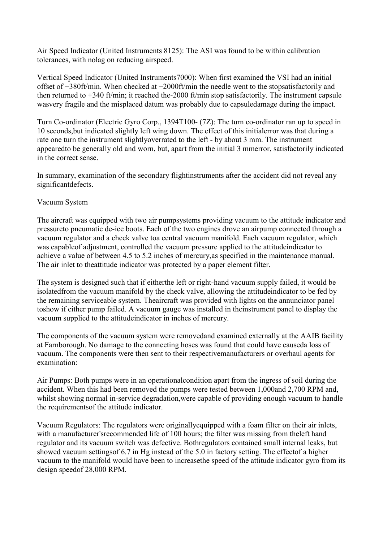Air Speed Indicator (United Instruments 8125): The ASI was found to be within calibration tolerances, with nolag on reducing airspeed.

Vertical Speed Indicator (United Instruments7000): When first examined the VSI had an initial offset of +380ft/min. When checked at +2000ft/min the needle went to the stopsatisfactorily and then returned to +340 ft/min; it reached the-2000 ft/min stop satisfactorily. The instrument capsule wasvery fragile and the misplaced datum was probably due to capsuledamage during the impact.

Turn Co-ordinator (Electric Gyro Corp., 1394T100- (7Z): The turn co-ordinator ran up to speed in 10 seconds,but indicated slightly left wing down. The effect of this initialerror was that during a rate one turn the instrument slightlyoverrated to the left - by about 3 mm. The instrument appearedto be generally old and worn, but, apart from the initial 3 mmerror, satisfactorily indicated in the correct sense.

In summary, examination of the secondary flightinstruments after the accident did not reveal any significantdefects.

## Vacuum System

The aircraft was equipped with two air pumpsystems providing vacuum to the attitude indicator and pressureto pneumatic de-ice boots. Each of the two engines drove an airpump connected through a vacuum regulator and a check valve toa central vacuum manifold. Each vacuum regulator, which was capableof adjustment, controlled the vacuum pressure applied to the attitudeindicator to achieve a value of between 4.5 to 5.2 inches of mercury,as specified in the maintenance manual. The air inlet to theattitude indicator was protected by a paper element filter.

The system is designed such that if eitherthe left or right-hand vacuum supply failed, it would be isolatedfrom the vacuum manifold by the check valve, allowing the attitudeindicator to be fed by the remaining serviceable system. Theaircraft was provided with lights on the annunciator panel toshow if either pump failed. A vacuum gauge was installed in theinstrument panel to display the vacuum supplied to the attitudeindicator in inches of mercury.

The components of the vacuum system were removedand examined externally at the AAIB facility at Farnborough. No damage to the connecting hoses was found that could have causeda loss of vacuum. The components were then sent to their respectivemanufacturers or overhaul agents for examination:

Air Pumps: Both pumps were in an operationalcondition apart from the ingress of soil during the accident. When this had been removed the pumps were tested between 1,000and 2,700 RPM and, whilst showing normal in-service degradation,were capable of providing enough vacuum to handle the requirementsof the attitude indicator.

Vacuum Regulators: The regulators were originallyequipped with a foam filter on their air inlets, with a manufacturer'srecommended life of 100 hours; the filter was missing from theleft hand regulator and its vacuum switch was defective. Bothregulators contained small internal leaks, but showed vacuum settingsof 6.7 in Hg instead of the 5.0 in factory setting. The effectof a higher vacuum to the manifold would have been to increasethe speed of the attitude indicator gyro from its design speedof 28,000 RPM.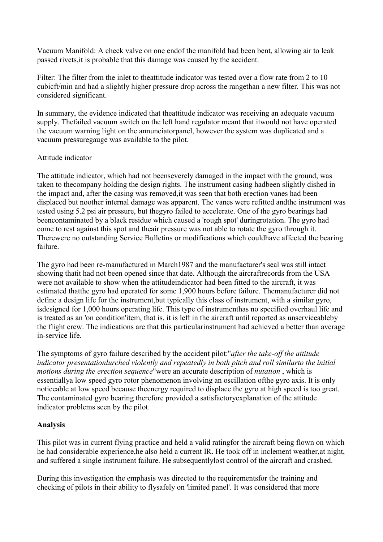Vacuum Manifold: A check valve on one endof the manifold had been bent, allowing air to leak passed rivets,it is probable that this damage was caused by the accident.

Filter: The filter from the inlet to theattitude indicator was tested over a flow rate from 2 to 10 cubicft/min and had a slightly higher pressure drop across the rangethan a new filter. This was not considered significant.

In summary, the evidence indicated that theattitude indicator was receiving an adequate vacuum supply. Thefailed vacuum switch on the left hand regulator meant that itwould not have operated the vacuum warning light on the annunciatorpanel, however the system was duplicated and a vacuum pressuregauge was available to the pilot.

### Attitude indicator

The attitude indicator, which had not beenseverely damaged in the impact with the ground, was taken to thecompany holding the design rights. The instrument casing hadbeen slightly dished in the impact and, after the casing was removed,it was seen that both erection vanes had been displaced but noother internal damage was apparent. The vanes were refitted andthe instrument was tested using 5.2 psi air pressure, but thegyro failed to accelerate. One of the gyro bearings had beencontaminated by a black residue which caused a 'rough spot' duringrotation. The gyro had come to rest against this spot and theair pressure was not able to rotate the gyro through it. Therewere no outstanding Service Bulletins or modifications which couldhave affected the bearing failure.

The gyro had been re-manufactured in March1987 and the manufacturer's seal was still intact showing thatit had not been opened since that date. Although the aircraftrecords from the USA were not available to show when the attitudeindicator had been fitted to the aircraft, it was estimated thatthe gyro had operated for some 1,900 hours before failure. Themanufacturer did not define a design life for the instrument,but typically this class of instrument, with a similar gyro, isdesigned for 1,000 hours operating life. This type of instrumenthas no specified overhaul life and is treated as an 'on condition'item, that is, it is left in the aircraft until reported as unserviceableby the flight crew. The indications are that this particularinstrument had achieved a better than average in-service life.

The symptoms of gyro failure described by the accident pilot:"*after the take-off the attitude indicator presentationlurched violently and repeatedly in both pitch and roll similarto the initial motions during the erection sequence*"were an accurate description of *nutation* , which is essentiallya low speed gyro rotor phenomenon involving an oscillation ofthe gyro axis. It is only noticeable at low speed because theenergy required to displace the gyro at high speed is too great. The contaminated gyro bearing therefore provided a satisfactoryexplanation of the attitude indicator problems seen by the pilot.

## **Analysis**

This pilot was in current flying practice and held a valid ratingfor the aircraft being flown on which he had considerable experience,he also held a current IR. He took off in inclement weather,at night, and suffered a single instrument failure. He subsequentlylost control of the aircraft and crashed.

During this investigation the emphasis was directed to the requirementsfor the training and checking of pilots in their ability to flysafely on 'limited panel'. It was considered that more